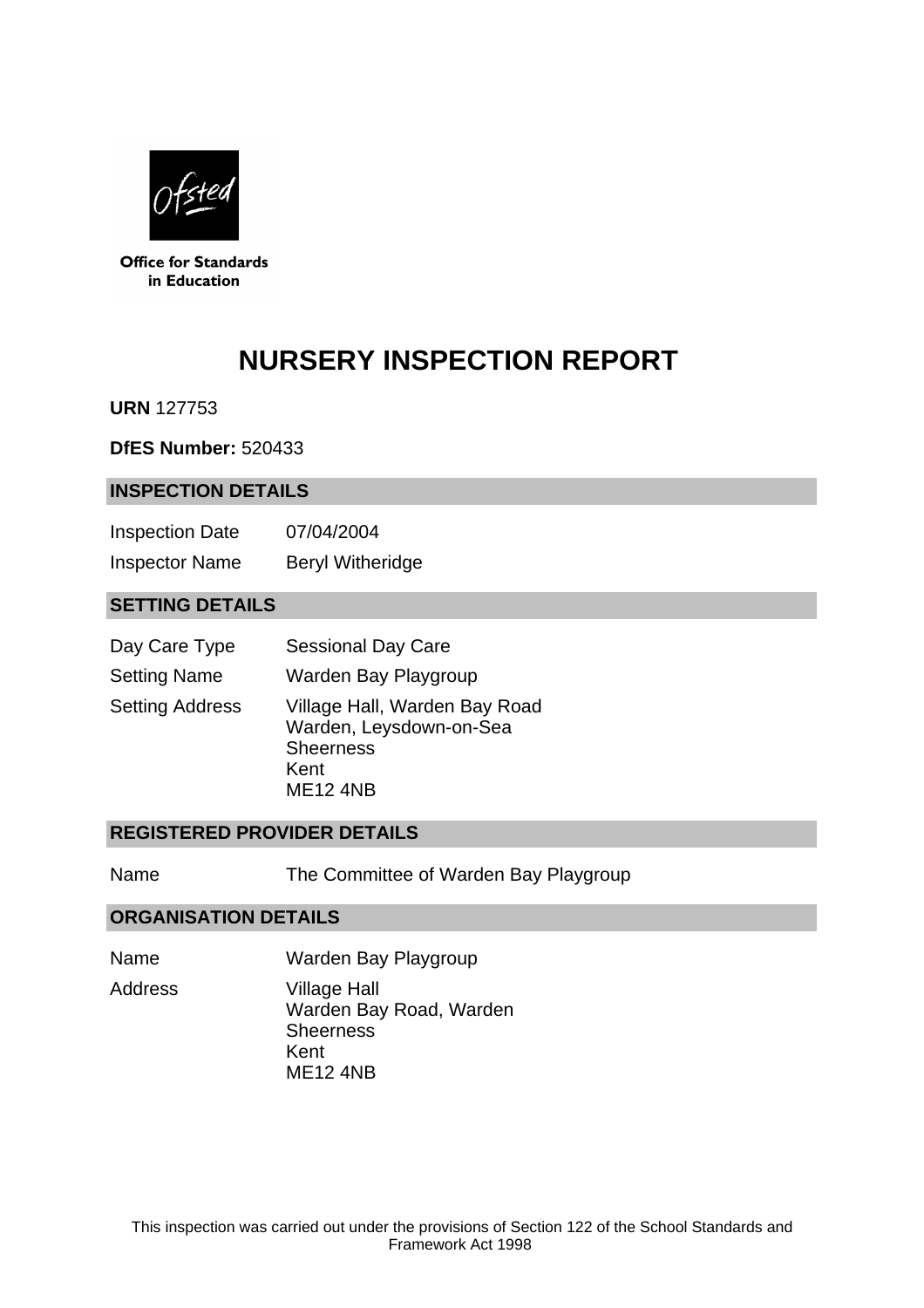

**Office for Standards** in Education

# **NURSERY INSPECTION REPORT**

**URN** 127753

**DfES Number:** 520433

## **INSPECTION DETAILS**

| <b>Inspection Date</b> | 07/04/2004              |
|------------------------|-------------------------|
| <b>Inspector Name</b>  | <b>Beryl Witheridge</b> |

## **SETTING DETAILS**

| Day Care Type          | <b>Sessional Day Care</b>                                                                               |
|------------------------|---------------------------------------------------------------------------------------------------------|
| <b>Setting Name</b>    | Warden Bay Playgroup                                                                                    |
| <b>Setting Address</b> | Village Hall, Warden Bay Road<br>Warden, Leysdown-on-Sea<br><b>Sheerness</b><br>Kent<br><b>ME12 4NB</b> |

## **REGISTERED PROVIDER DETAILS**

Name The Committee of Warden Bay Playgroup

## **ORGANISATION DETAILS**

Name Warden Bay Playgroup Address Village Hall Warden Bay Road, Warden **Sheerness** Kent ME12 4NB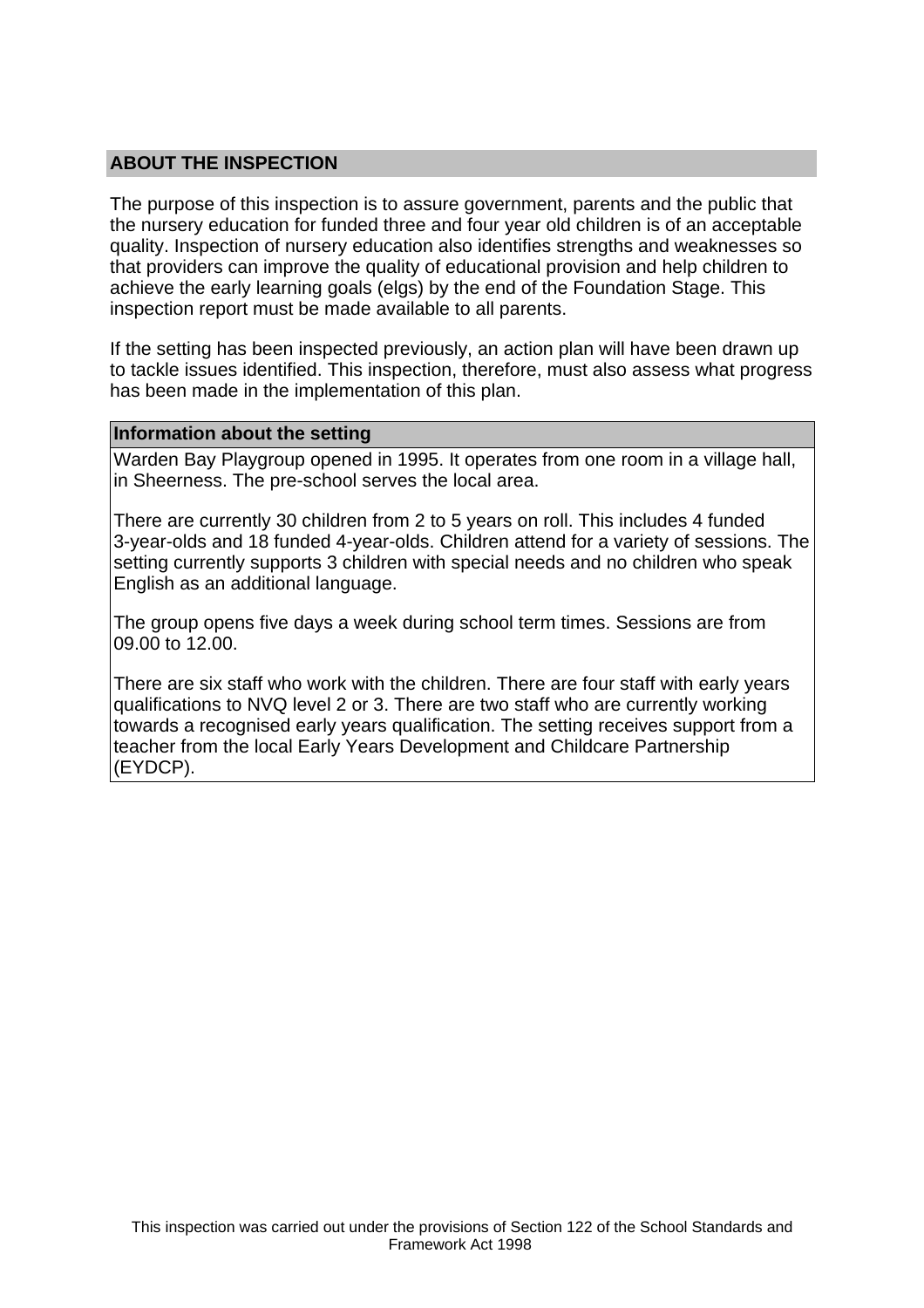## **ABOUT THE INSPECTION**

The purpose of this inspection is to assure government, parents and the public that the nursery education for funded three and four year old children is of an acceptable quality. Inspection of nursery education also identifies strengths and weaknesses so that providers can improve the quality of educational provision and help children to achieve the early learning goals (elgs) by the end of the Foundation Stage. This inspection report must be made available to all parents.

If the setting has been inspected previously, an action plan will have been drawn up to tackle issues identified. This inspection, therefore, must also assess what progress has been made in the implementation of this plan.

#### **Information about the setting**

Warden Bay Playgroup opened in 1995. It operates from one room in a village hall, in Sheerness. The pre-school serves the local area.

There are currently 30 children from 2 to 5 years on roll. This includes 4 funded 3-year-olds and 18 funded 4-year-olds. Children attend for a variety of sessions. The setting currently supports 3 children with special needs and no children who speak English as an additional language.

The group opens five days a week during school term times. Sessions are from 09.00 to 12.00.

There are six staff who work with the children. There are four staff with early years qualifications to NVQ level 2 or 3. There are two staff who are currently working towards a recognised early years qualification. The setting receives support from a teacher from the local Early Years Development and Childcare Partnership (EYDCP).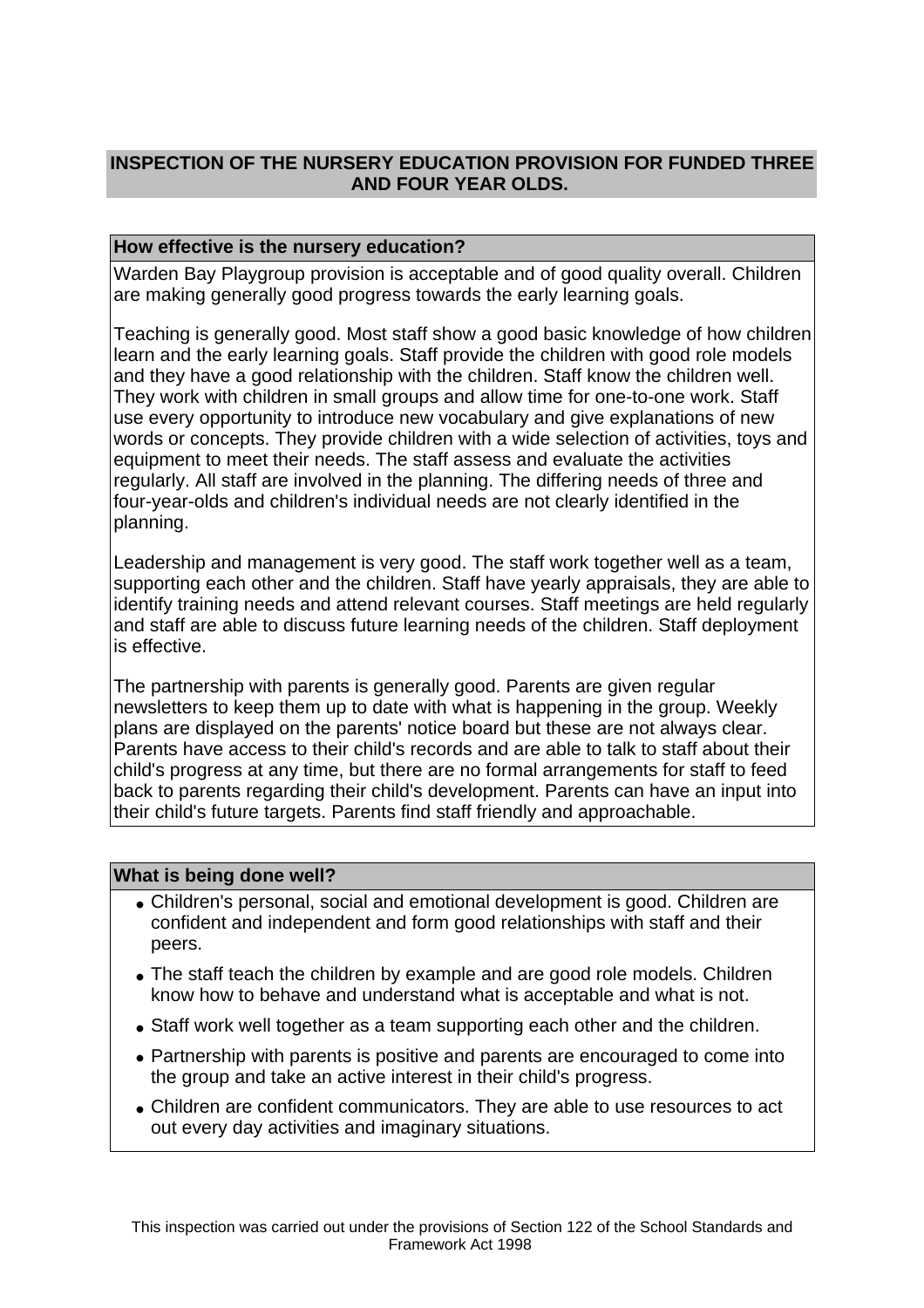# **INSPECTION OF THE NURSERY EDUCATION PROVISION FOR FUNDED THREE AND FOUR YEAR OLDS.**

## **How effective is the nursery education?**

Warden Bay Playgroup provision is acceptable and of good quality overall. Children are making generally good progress towards the early learning goals.

Teaching is generally good. Most staff show a good basic knowledge of how children learn and the early learning goals. Staff provide the children with good role models and they have a good relationship with the children. Staff know the children well. They work with children in small groups and allow time for one-to-one work. Staff use every opportunity to introduce new vocabulary and give explanations of new words or concepts. They provide children with a wide selection of activities, toys and equipment to meet their needs. The staff assess and evaluate the activities regularly. All staff are involved in the planning. The differing needs of three and four-year-olds and children's individual needs are not clearly identified in the planning.

Leadership and management is very good. The staff work together well as a team, supporting each other and the children. Staff have yearly appraisals, they are able to identify training needs and attend relevant courses. Staff meetings are held regularly and staff are able to discuss future learning needs of the children. Staff deployment is effective.

The partnership with parents is generally good. Parents are given regular newsletters to keep them up to date with what is happening in the group. Weekly plans are displayed on the parents' notice board but these are not always clear. Parents have access to their child's records and are able to talk to staff about their child's progress at any time, but there are no formal arrangements for staff to feed back to parents regarding their child's development. Parents can have an input into their child's future targets. Parents find staff friendly and approachable.

## **What is being done well?**

- Children's personal, social and emotional development is good. Children are confident and independent and form good relationships with staff and their peers.
- The staff teach the children by example and are good role models. Children know how to behave and understand what is acceptable and what is not.
- Staff work well together as a team supporting each other and the children.
- Partnership with parents is positive and parents are encouraged to come into the group and take an active interest in their child's progress.
- Children are confident communicators. They are able to use resources to act out every day activities and imaginary situations.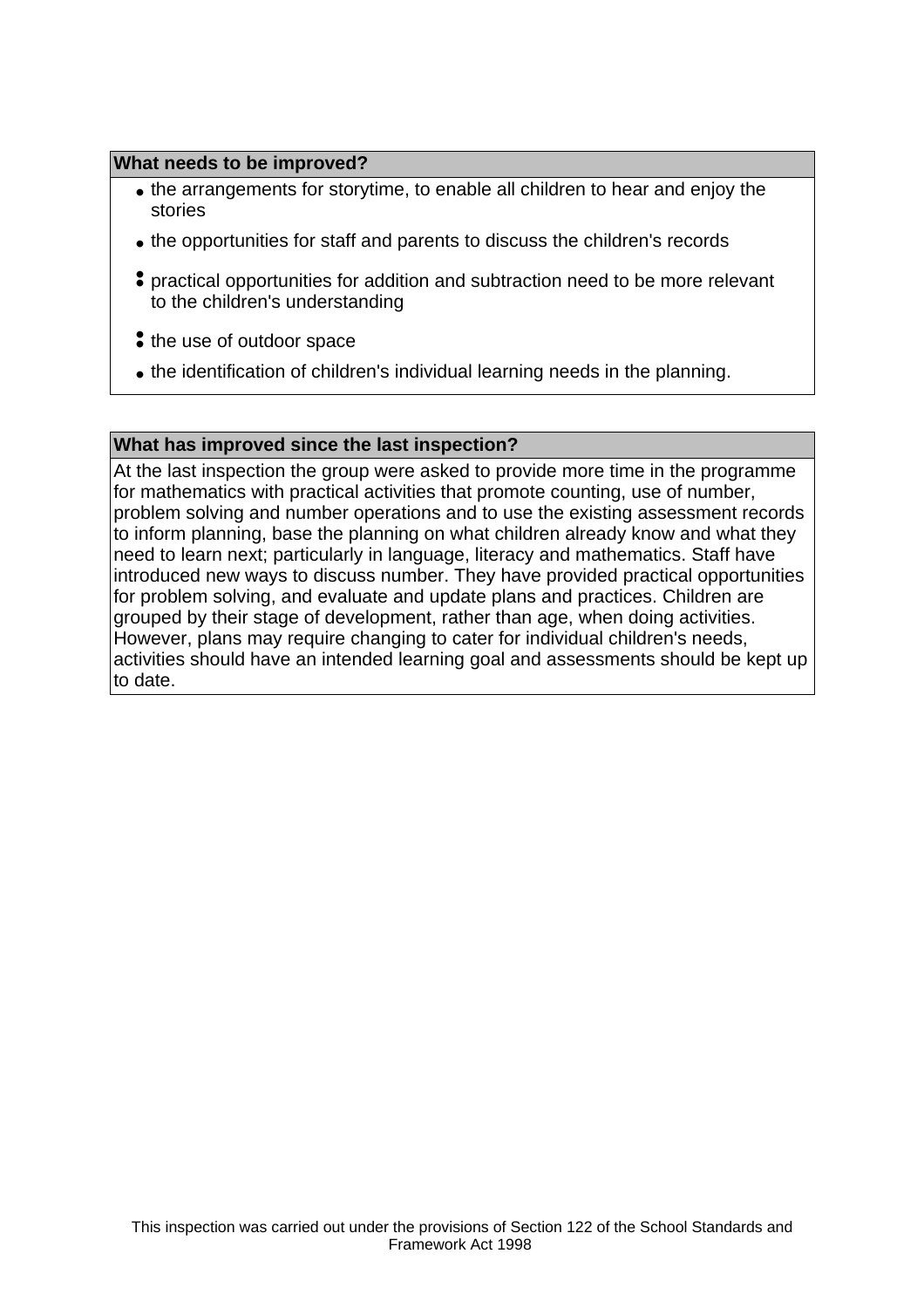## **What needs to be improved?**

- the arrangements for storytime, to enable all children to hear and enjoy the stories
- the opportunities for staff and parents to discuss the children's records
- • practical opportunities for addition and subtraction need to be more relevant to the children's understanding
- If the use of outdoor space
- the identification of children's individual learning needs in the planning.

#### **What has improved since the last inspection?**

At the last inspection the group were asked to provide more time in the programme for mathematics with practical activities that promote counting, use of number, problem solving and number operations and to use the existing assessment records to inform planning, base the planning on what children already know and what they need to learn next; particularly in language, literacy and mathematics. Staff have introduced new ways to discuss number. They have provided practical opportunities for problem solving, and evaluate and update plans and practices. Children are grouped by their stage of development, rather than age, when doing activities. However, plans may require changing to cater for individual children's needs, activities should have an intended learning goal and assessments should be kept up to date.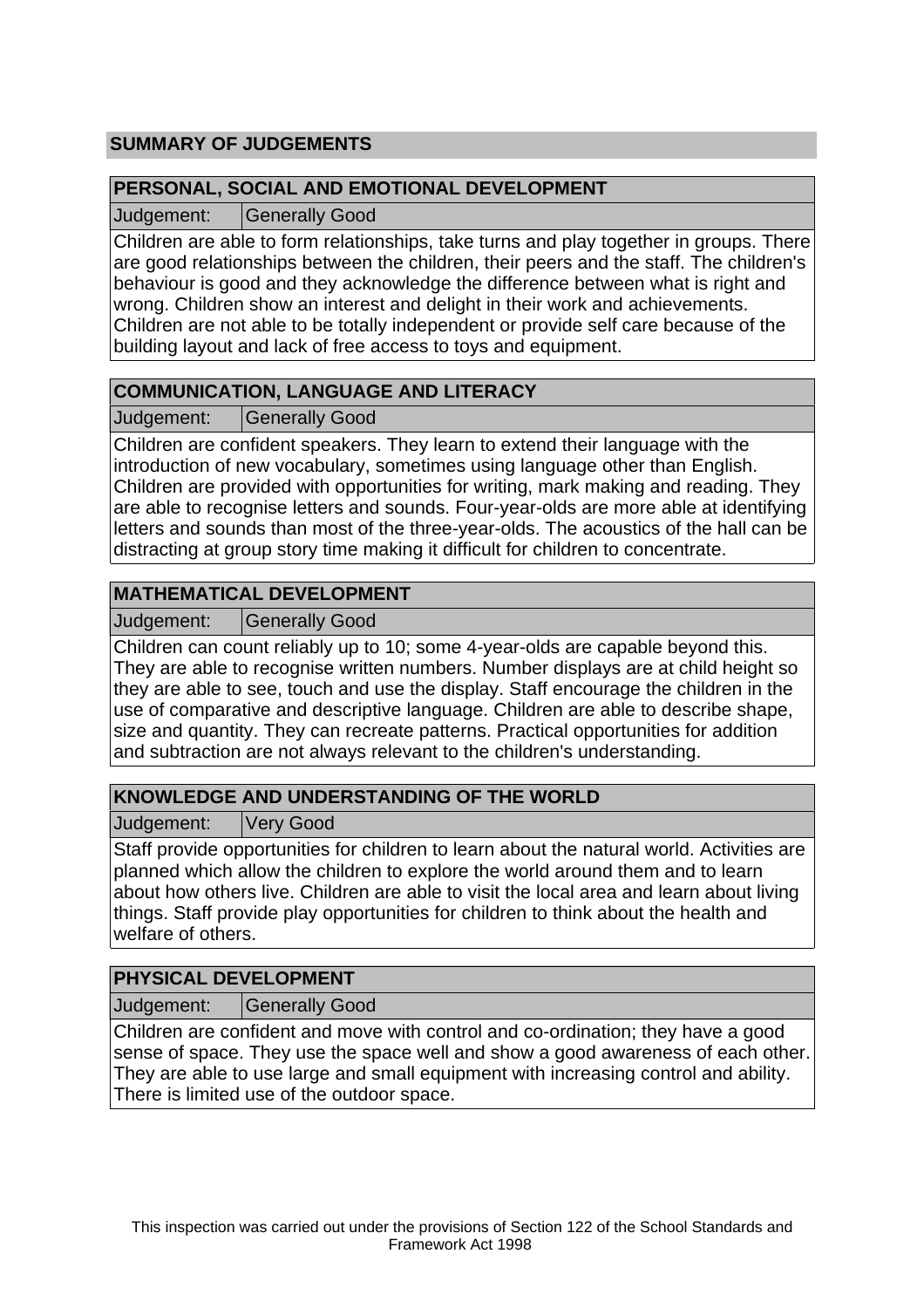# **SUMMARY OF JUDGEMENTS**

## **PERSONAL, SOCIAL AND EMOTIONAL DEVELOPMENT**

Judgement: Generally Good

Children are able to form relationships, take turns and play together in groups. There are good relationships between the children, their peers and the staff. The children's behaviour is good and they acknowledge the difference between what is right and wrong. Children show an interest and delight in their work and achievements. Children are not able to be totally independent or provide self care because of the building layout and lack of free access to toys and equipment.

# **COMMUNICATION, LANGUAGE AND LITERACY**

Judgement: Generally Good

Children are confident speakers. They learn to extend their language with the introduction of new vocabulary, sometimes using language other than English. Children are provided with opportunities for writing, mark making and reading. They are able to recognise letters and sounds. Four-year-olds are more able at identifying letters and sounds than most of the three-year-olds. The acoustics of the hall can be distracting at group story time making it difficult for children to concentrate.

# **MATHEMATICAL DEVELOPMENT**

Judgement: Generally Good

Children can count reliably up to 10; some 4-year-olds are capable beyond this. They are able to recognise written numbers. Number displays are at child height so they are able to see, touch and use the display. Staff encourage the children in the use of comparative and descriptive language. Children are able to describe shape, size and quantity. They can recreate patterns. Practical opportunities for addition and subtraction are not always relevant to the children's understanding.

# **KNOWLEDGE AND UNDERSTANDING OF THE WORLD**

Judgement: Very Good

Staff provide opportunities for children to learn about the natural world. Activities are planned which allow the children to explore the world around them and to learn about how others live. Children are able to visit the local area and learn about living things. Staff provide play opportunities for children to think about the health and welfare of others.

## **PHYSICAL DEVELOPMENT**

Judgement: | Generally Good

Children are confident and move with control and co-ordination; they have a good sense of space. They use the space well and show a good awareness of each other. They are able to use large and small equipment with increasing control and ability. There is limited use of the outdoor space.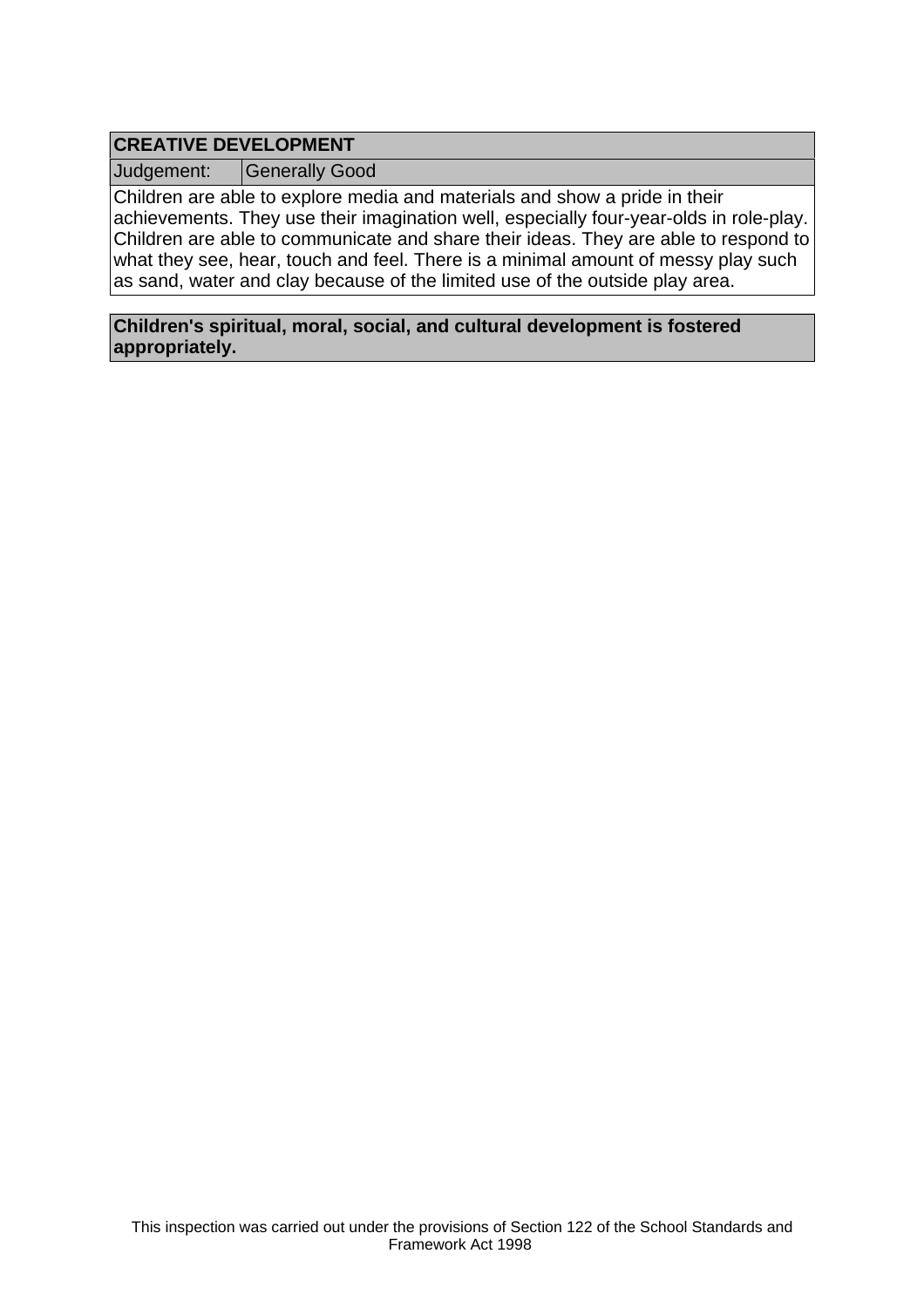# **CREATIVE DEVELOPMENT**

Judgement: Generally Good

Children are able to explore media and materials and show a pride in their achievements. They use their imagination well, especially four-year-olds in role-play. Children are able to communicate and share their ideas. They are able to respond to what they see, hear, touch and feel. There is a minimal amount of messy play such as sand, water and clay because of the limited use of the outside play area.

**Children's spiritual, moral, social, and cultural development is fostered appropriately.**